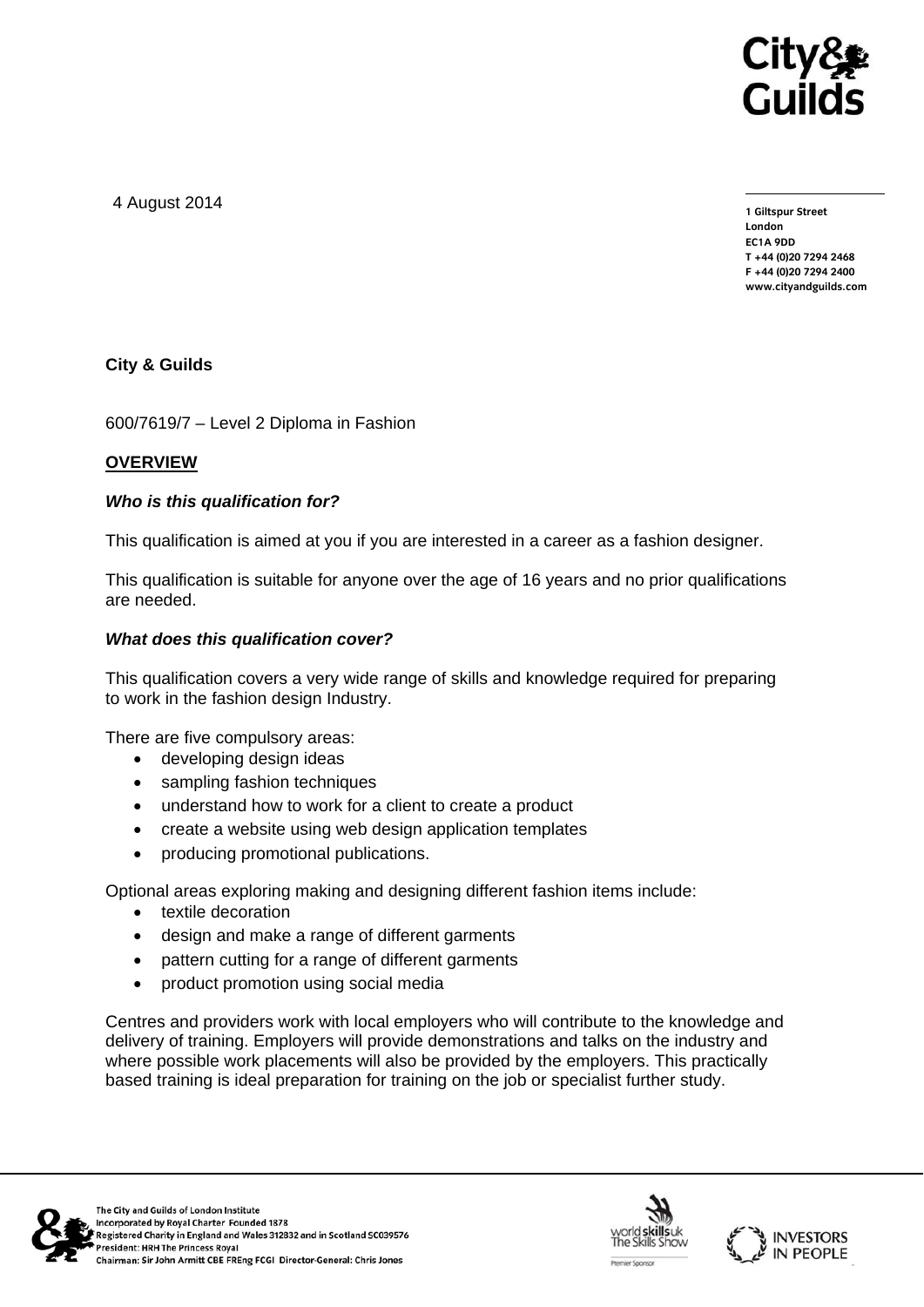

4 August 2014

**1 Giltspur Street London EC1A 9DD T +44 (0)20 7294 2468 F +44 (0)20 7294 2400 www.cityandguilds.com** 

# **City & Guilds**

600/7619/7 – Level 2 Diploma in Fashion

## **OVERVIEW**

## *Who is this qualification for?*

This qualification is aimed at you if you are interested in a career as a fashion designer.

This qualification is suitable for anyone over the age of 16 years and no prior qualifications are needed.

## *What does this qualification cover?*

This qualification covers a very wide range of skills and knowledge required for preparing to work in the fashion design Industry.

There are five compulsory areas:

- developing design ideas
- sampling fashion techniques
- understand how to work for a client to create a product
- create a website using web design application templates
- producing promotional publications.

Optional areas exploring making and designing different fashion items include:

- textile decoration
- design and make a range of different garments
- pattern cutting for a range of different garments
- product promotion using social media

Centres and providers work with local employers who will contribute to the knowledge and delivery of training. Employers will provide demonstrations and talks on the industry and where possible work placements will also be provided by the employers. This practically based training is ideal preparation for training on the job or specialist further study.